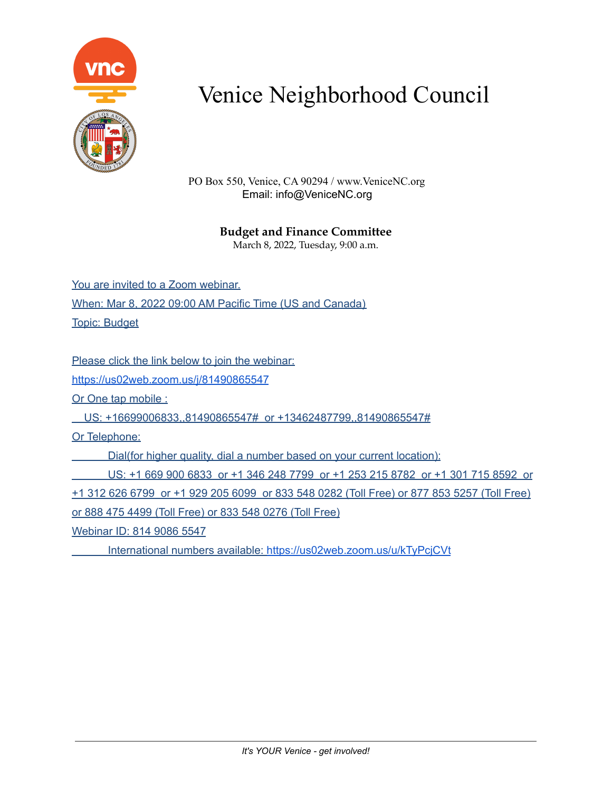

PO Box 550, Venice, CA 90294 / www.VeniceNC.org Email: info@VeniceNC.org

### **Budget and Finance Committee**

March 8, 2022, Tuesday, 9:00 a.m.

You are invited to a Zoom webinar. When: Mar 8, 2022 09:00 AM Pacific Time (US and Canada) Topic: Budget

Please click the link below to join the webinar:

<https://us02web.zoom.us/j/81490865547>

Or One tap mobile :

US: +16699006833,,81490865547# or +13462487799,,81490865547#

Or Telephone:

Dial(for higher quality, dial a number based on your current location):

US: +1 669 900 6833 or +1 346 248 7799 or +1 253 215 8782 or +1 301 715 8592 or +1 312 626 6799 or +1 929 205 6099 or 833 548 0282 (Toll Free) or 877 853 5257 (Toll Free) or 888 475 4499 (Toll Free) or 833 548 0276 (Toll Free)

Webinar ID: 814 9086 5547

International numbers available: <https://us02web.zoom.us/u/kTyPcjCVt>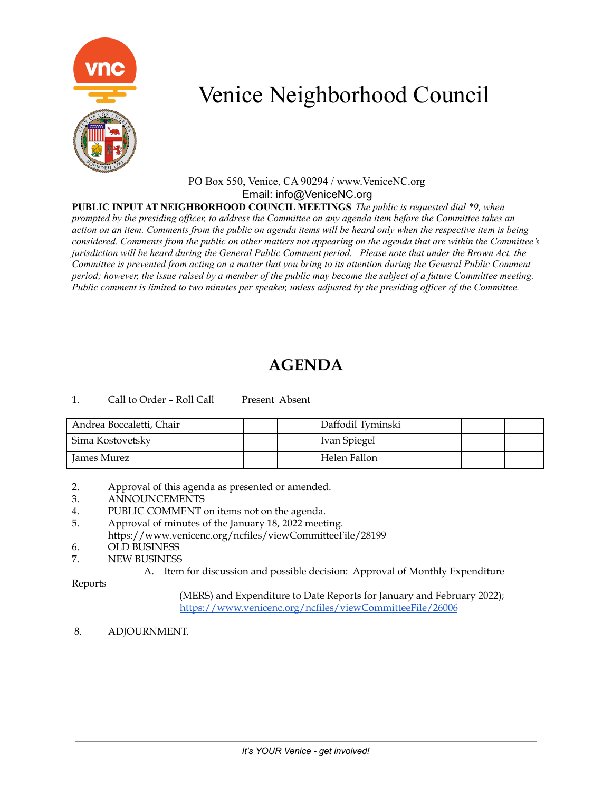

### PO Box 550, Venice, CA 90294 / www.VeniceNC.org Email: info@VeniceNC.org

**PUBLIC INPUT AT NEIGHBORHOOD COUNCIL MEETINGS** *The public is requested dial \*9, when* prompted by the presiding officer, to address the Committee on any agenda item before the Committee takes an action on an item. Comments from the public on agenda items will be heard only when the respective item is being considered. Comments from the public on other matters not appearing on the agenda that are within the Committee's jurisdiction will be heard during the General Public Comment period. Please note that under the Brown Act, the Committee is prevented from acting on a matter that you bring to its attention during the General Public Comment period; however, the issue raised by a member of the public may become the subject of a future Committee meeting. Public comment is limited to two minutes per speaker, unless adjusted by the presiding officer of the Committee.

## **AGENDA**

1. Call to Order - Roll Call Present Absent

| Andrea Boccaletti, Chair |  | Daffodil Tyminski |  |
|--------------------------|--|-------------------|--|
| Sima Kostovetsky         |  | Ivan Spiegel      |  |
| James Murez              |  | Helen Fallon      |  |

- 2. Approval of this agenda as presented or amended.
- 3. ANNOUNCEMENTS
- 4. PUBLIC COMMENT on items not on the agenda.
- 5. Approval of minutes of the January 18, 2022 meeting. https://www.venicenc.org/ncfiles/viewCommitteeFile/28199
- 6. OLD BUSINESS
- 7. NEW BUSINESS
	- A. Item for discussion and possible decision: Approval of Monthly Expenditure

Reports

(MERS) and Expenditure to Date Reports for January and February 2022); <https://www.venicenc.org/ncfiles/viewCommitteeFile/26006>

8. ADJOURNMENT.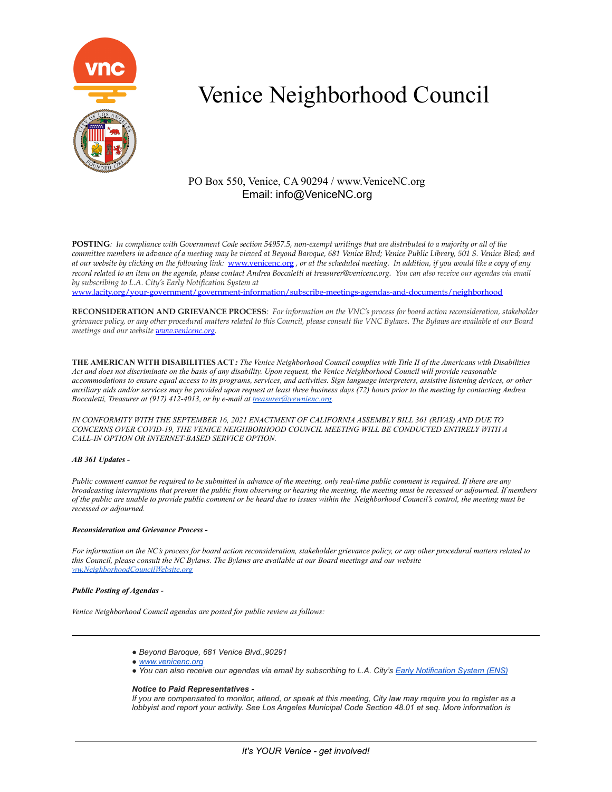

### PO Box 550, Venice, CA 90294 / www.VeniceNC.org Email: info@VeniceNC.org

POSTING: In compliance with Government Code section 54957.5, non-exempt writings that are distributed to a majority or all of the committee members in advance of a meeting may be viewed at Beyond Baroque, 681 Venice Blvd; Venice Public Library, 501 S. Venice Blvd; and at our website by clicking on the following link: [www.venicenc.org](http://www.venicenc.org), or at the scheduled meeting. In addition, if you would like a copy of any record related to an item on the agenda, please contact Andrea Boccaletti at treasurer@venicenc.org. You can also receive our agendas via email *by subscribing to L.A. City's Early Notification System at*

[www.lacity.org/your-government/government-information/subscribe-meetings-agendas-and-documents/neighborhood](http://www.lacity.org/your-government/government-information/subscribe-meetings-agendas-and-documents/neighborhood)

RECONSIDERATION AND GRIEVANCE PROCESS: For information on the VNC's process for board action reconsideration, stakeholder grievance policy, or any other procedural matters related to this Council, please consult the VNC Bylaws. The Bylaws are available at our Board *meetings and our website [www.venicenc.org.](http://www.venicenc.org)*

THE AMERICAN WITH DISABILITIES ACT: The Venice Neighborhood Council complies with Title II of the Americans with Disabilities Act and does not discriminate on the basis of any disability. Upon request, the Venice Neighborhood Council will provide reasonable accommodations to ensure equal access to its programs, services, and activities. Sign language interpreters, assistive listening devices, or other auxiliary aids and/or services may be provided upon request at least three business days (72) hours prior to the meeting by contacting Andrea *Boccaletti, Treasurer at (917) 412-4013, or by e-mail at [treasurer@vewnienc.org.](mailto:treasurer@vewnienc.org)*

*IN CONFORMITY WITH THE SEPTEMBER 16, 2021 ENACTMENT OF CALIFORNIA ASSEMBLY BILL 361 (RIVAS) AND DUE TO CONCERNS OVER COVID-19, THE VENICE NEIGHBORHOOD COUNCIL MEETING WILL BE CONDUCTED ENTIRELY WITH A CALL-IN OPTION OR INTERNET-BASED SERVICE OPTION.*

### *AB 361 Updates -*

Public comment cannot be required to be submitted in advance of the meeting, only real-time public comment is required. If there are any broadcasting interruptions that prevent the public from observing or hearing the meeting, the meeting must be recessed or adjourned. If members of the public are unable to provide public comment or be heard due to issues within the Neighborhood Council's control, the meeting must be *recessed or adjourned.*

### *Reconsideration and Grievance Process -*

For information on the NC's process for board action reconsideration, stakeholder grievance policy, or any other procedural matters related to this Council, please consult the NC Bylaws. The Bylaws are available at our Board meetings and our website *[ww.NeighborhoodCouncilWebsite.org](http://ww.neighborhoodcouncilwebsite.org/)*

### *Public Posting of Agendas -*

*Venice Neighborhood Council agendas are posted for public review as follows:*

- *● Beyond Baroque, 681 Venice Blvd.,90291*
- *● [www.venicenc.o](http://www.neighborhoodcouncilwebsite.com/)rg*
- You can also receive our agendas via email by subscribing to L.A. City's Early [Notification](https://www.lacity.org/government/subscribe-agendasnotifications/neighborhood-councils) System (ENS)

#### *Notice to Paid Representatives -*

If you are compensated to monitor, attend, or speak at this meeting, City law may require you to register as a lobbyist and report your activity. See Los Angeles Municipal Code Section 48.01 et seq. More information is